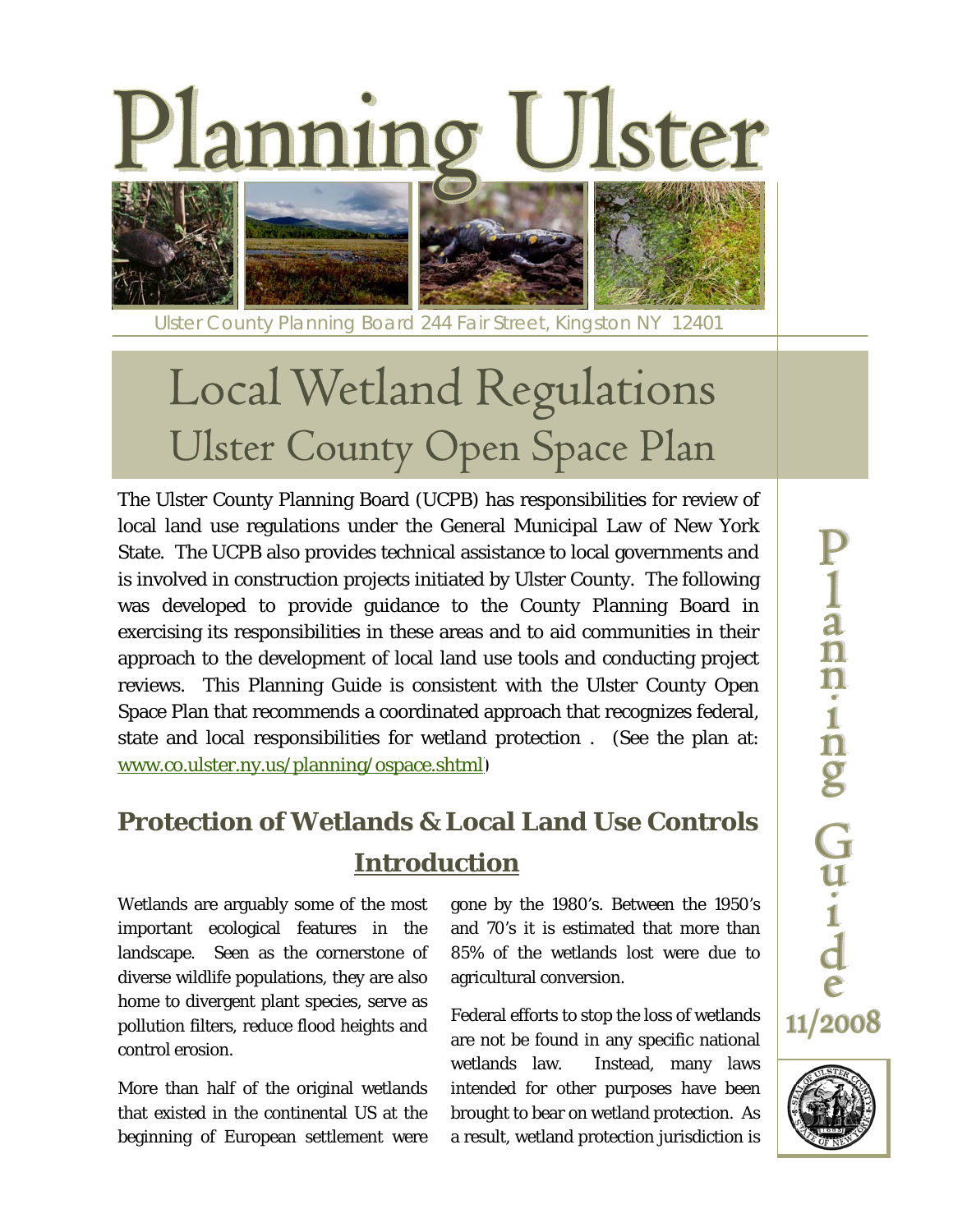



Ulster County Planning Board 244 Fair Street, Kingston NY 12401

# Local Wetland Regulations Ulster County Open Space Plan

The Ulster County Planning Board (UCPB) has responsibilities for review of local land use regulations under the General Municipal Law of New York State. The UCPB also provides technical assistance to local governments and is involved in construction projects initiated by Ulster County. The following was developed to provide guidance to the County Planning Board in exercising its responsibilities in these areas and to aid communities in their approach to the development of local land use tools and conducting project reviews. This Planning Guide is consistent with the Ulster County Open Space Plan that recommends a coordinated approach that recognizes federal, state and local responsibilities for wetland protection . (See the plan at: [www.co.ulster.ny.us/planning/ospace.shtml\)](www.co.ulster.ny.us/planning/ospace.shtml)

# **Protection of Wetlands & Local Land Use Controls Introduction**

Wetlands are arguably some of the most important ecological features in the landscape. Seen as the cornerstone of diverse wildlife populations, they are also home to divergent plant species, serve as pollution filters, reduce flood heights and control erosion.

More than half of the original wetlands that existed in the continental US at the beginning of European settlement were gone by the 1980's. Between the 1950's and 70's it is estimated that more than 85% of the wetlands lost were due to agricultural conversion.

Federal efforts to stop the loss of wetlands are not be found in any specific national wetlands law. Instead, many laws intended for other purposes have been brought to bear on wetland protection. As a result, wetland protection jurisdiction is

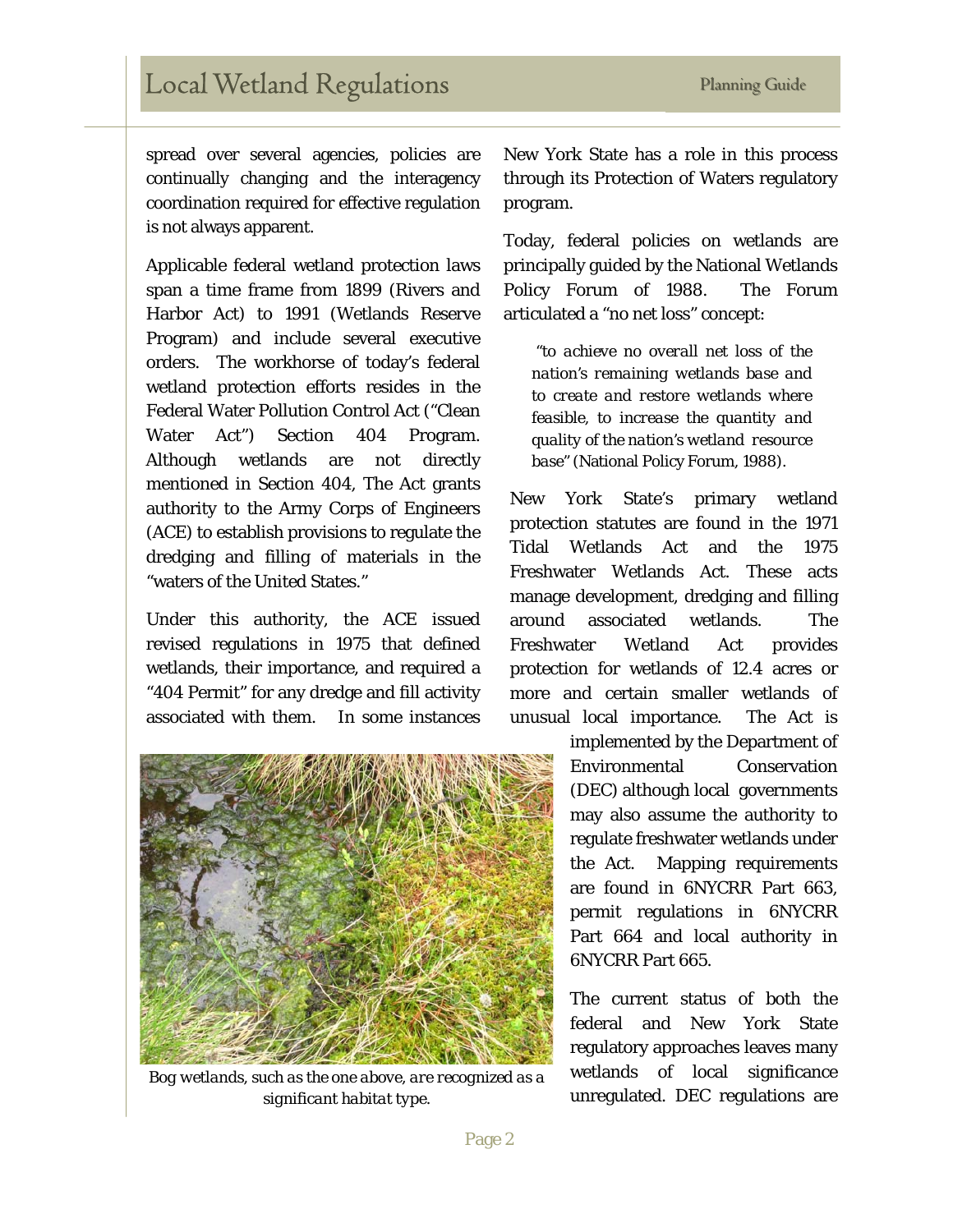## Local Wetland Regulations Planning Guide

spread over several agencies, policies are continually changing and the interagency coordination required for effective regulation is not always apparent.

Applicable federal wetland protection laws span a time frame from 1899 (Rivers and Harbor Act) to 1991 (Wetlands Reserve Program) and include several executive orders. The workhorse of today's federal wetland protection efforts resides in the Federal Water Pollution Control Act ("Clean Water Act") Section 404 Program. Although wetlands are not directly mentioned in Section 404, The Act grants authority to the Army Corps of Engineers (ACE) to establish provisions to regulate the dredging and filling of materials in the "waters of the United States."

Under this authority, the ACE issued revised regulations in 1975 that defined wetlands, their importance, and required a "404 Permit" for any dredge and fill activity associated with them. In some instances



*Bog wetlands, such as the one above, are recognized as a significant habitat type.* 

New York State has a role in this process through its Protection of Waters regulatory program.

Today, federal policies on wetlands are principally guided by the National Wetlands Policy Forum of 1988. The Forum articulated a "no net loss" concept:

"*to achieve no overall net loss of the nation's remaining wetlands base and to create and restore wetlands where feasible, to increase the quantity and quality of the nation's wetland resource base" (*National Policy Forum, 1988*).* 

New York State's primary wetland protection statutes are found in the 1971 Tidal Wetlands Act and the 1975 Freshwater Wetlands Act. These acts manage development, dredging and filling around associated wetlands. The Freshwater Wetland Act provides protection for wetlands of 12.4 acres or more and certain smaller wetlands of unusual local importance. The Act is

> implemented by the Department of Environmental Conservation (DEC) although local governments may also assume the authority to regulate freshwater wetlands under the Act. Mapping requirements are found in 6NYCRR Part 663, permit regulations in 6NYCRR Part 664 and local authority in 6NYCRR Part 665.

> The current status of both the federal and New York State regulatory approaches leaves many wetlands of local significance unregulated. DEC regulations are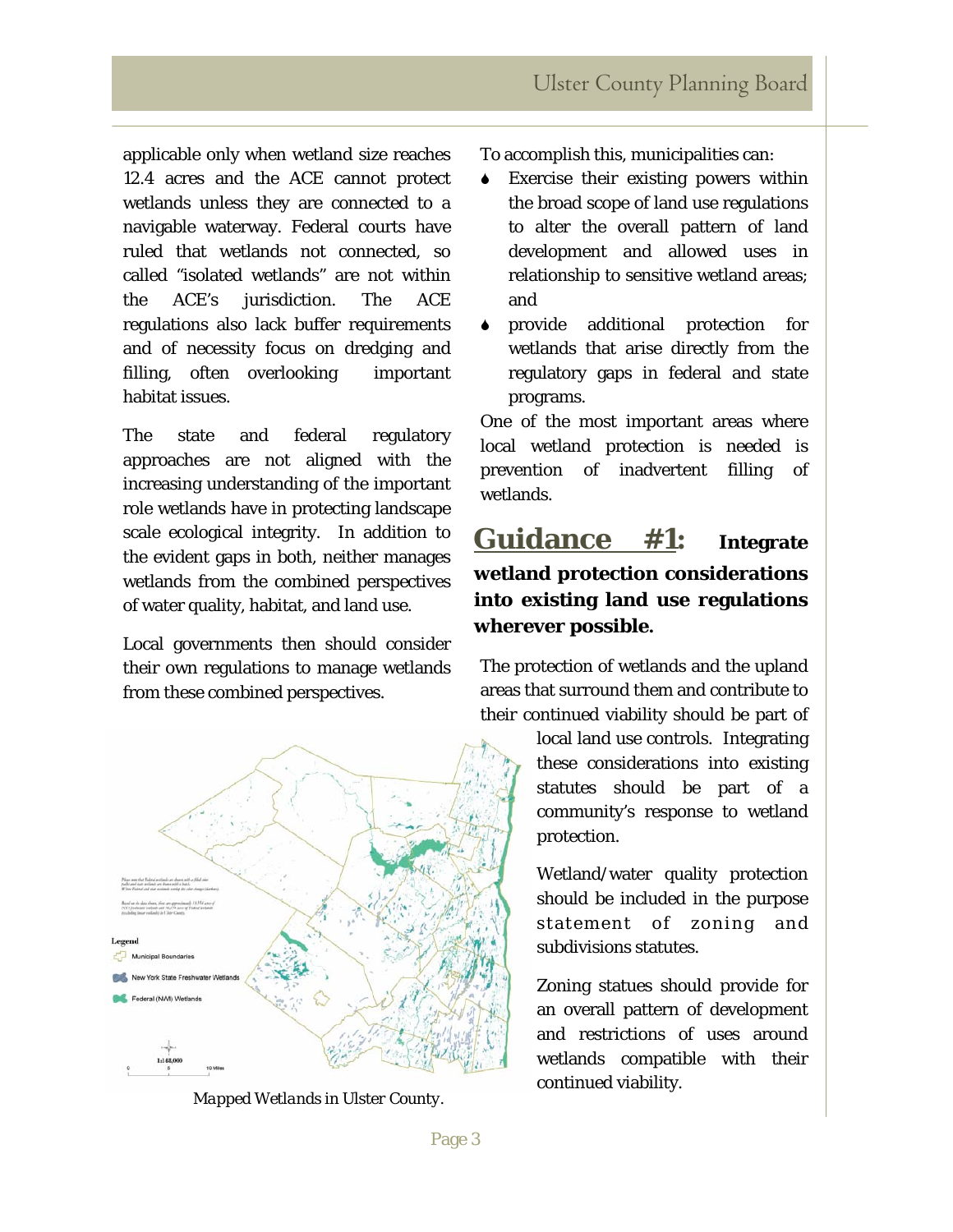applicable only when wetland size reaches 12.4 acres and the ACE cannot protect wetlands unless they are connected to a navigable waterway. Federal courts have ruled that wetlands not connected, so called "isolated wetlands" are not within the ACE's jurisdiction. The ACE regulations also lack buffer requirements and of necessity focus on dredging and filling, often overlooking important habitat issues.

The state and federal regulatory approaches are not aligned with the increasing understanding of the important role wetlands have in protecting landscape scale ecological integrity. In addition to the evident gaps in both, neither manages wetlands from the combined perspectives of water quality, habitat, and land use.

Local governments then should consider their own regulations to manage wetlands from these combined perspectives.



continued viability. *Mapped Wetlands in Ulster County.* 

To accomplish this, municipalities can:

- Exercise their existing powers within the broad scope of land use regulations to alter the overall pattern of land development and allowed uses in relationship to sensitive wetland areas; and
- provide additional protection for wetlands that arise directly from the regulatory gaps in federal and state programs.

One of the most important areas where local wetland protection is needed is prevention of inadvertent filling of wetlands.

## **Guidance #1: Integrate wetland protection considerations into existing land use regulations wherever possible.**

The protection of wetlands and the upland areas that surround them and contribute to their continued viability should be part of

> local land use controls. Integrating these considerations into existing statutes should be part of a community's response to wetland protection.

> Wetland/water quality protection should be included in the purpose statement of zoning and subdivisions statutes.

> Zoning statues should provide for an overall pattern of development and restrictions of uses around wetlands compatible with their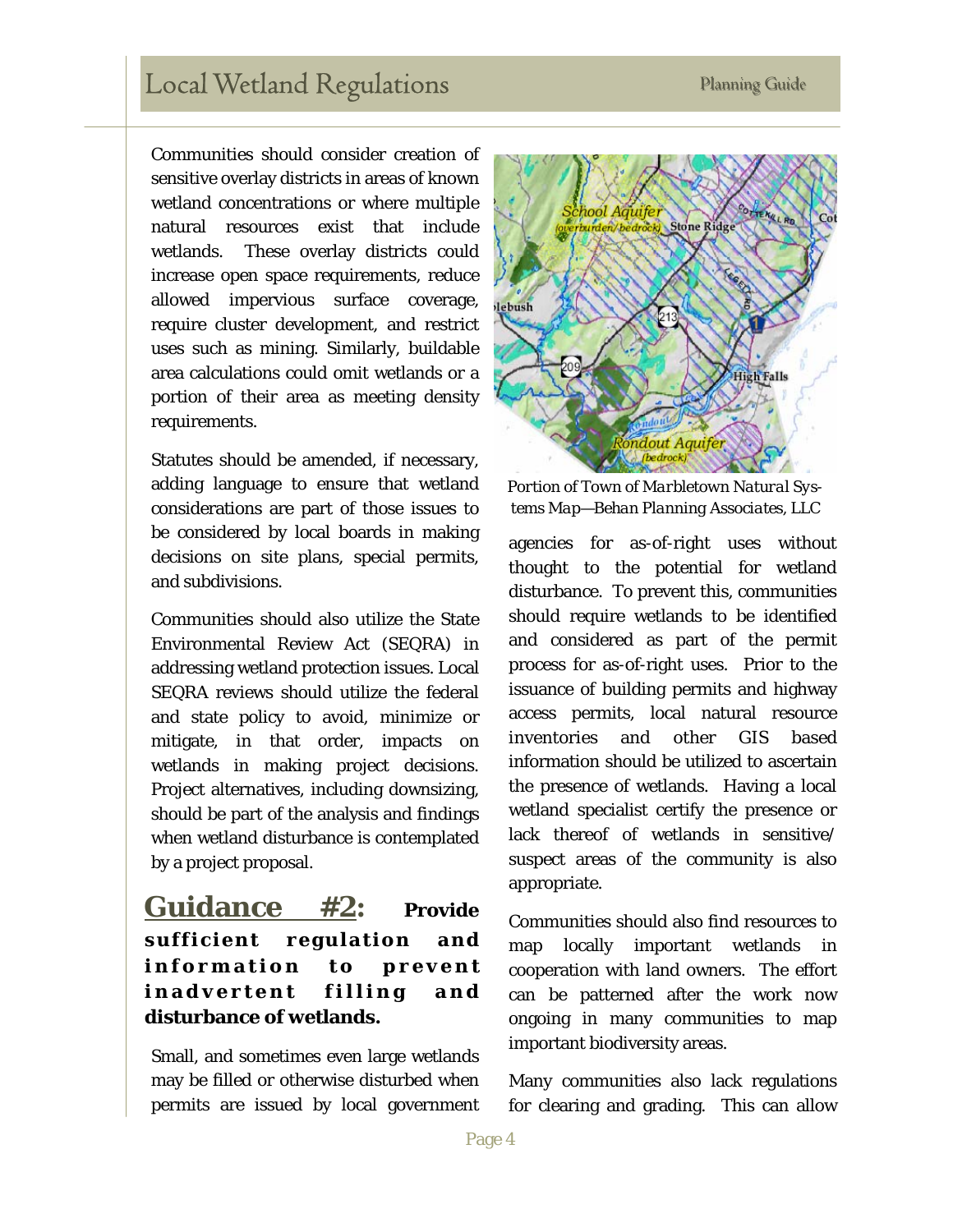## Local Wetland Regulations Planning Guide

Communities should consider creation of sensitive overlay districts in areas of known wetland concentrations or where multiple natural resources exist that include wetlands. These overlay districts could increase open space requirements, reduce allowed impervious surface coverage, require cluster development, and restrict uses such as mining. Similarly, buildable area calculations could omit wetlands or a portion of their area as meeting density requirements.

Statutes should be amended, if necessary, adding language to ensure that wetland considerations are part of those issues to be considered by local boards in making decisions on site plans, special permits, and subdivisions.

Communities should also utilize the State Environmental Review Act (SEQRA) in addressing wetland protection issues. Local SEQRA reviews should utilize the federal and state policy to avoid, minimize or mitigate, in that order, impacts on wetlands in making project decisions. Project alternatives, including downsizing, should be part of the analysis and findings when wetland disturbance is contemplated by a project proposal.

**Guidance #2: Provide**  sufficient regulation and information to prevent inadvertent filling and **disturbance of wetlands.** 

Small, and sometimes even large wetlands may be filled or otherwise disturbed when permits are issued by local government



*Portion of Town of Marbletown Natural Systems Map—Behan Planning Associates, LLC* 

agencies for as-of-right uses without thought to the potential for wetland disturbance. To prevent this, communities should require wetlands to be identified and considered as part of the permit process for as-of-right uses. Prior to the issuance of building permits and highway access permits, local natural resource inventories and other GIS based information should be utilized to ascertain the presence of wetlands. Having a local wetland specialist certify the presence or lack thereof of wetlands in sensitive/ suspect areas of the community is also appropriate.

Communities should also find resources to map locally important wetlands in cooperation with land owners. The effort can be patterned after the work now ongoing in many communities to map important biodiversity areas.

Many communities also lack regulations for clearing and grading. This can allow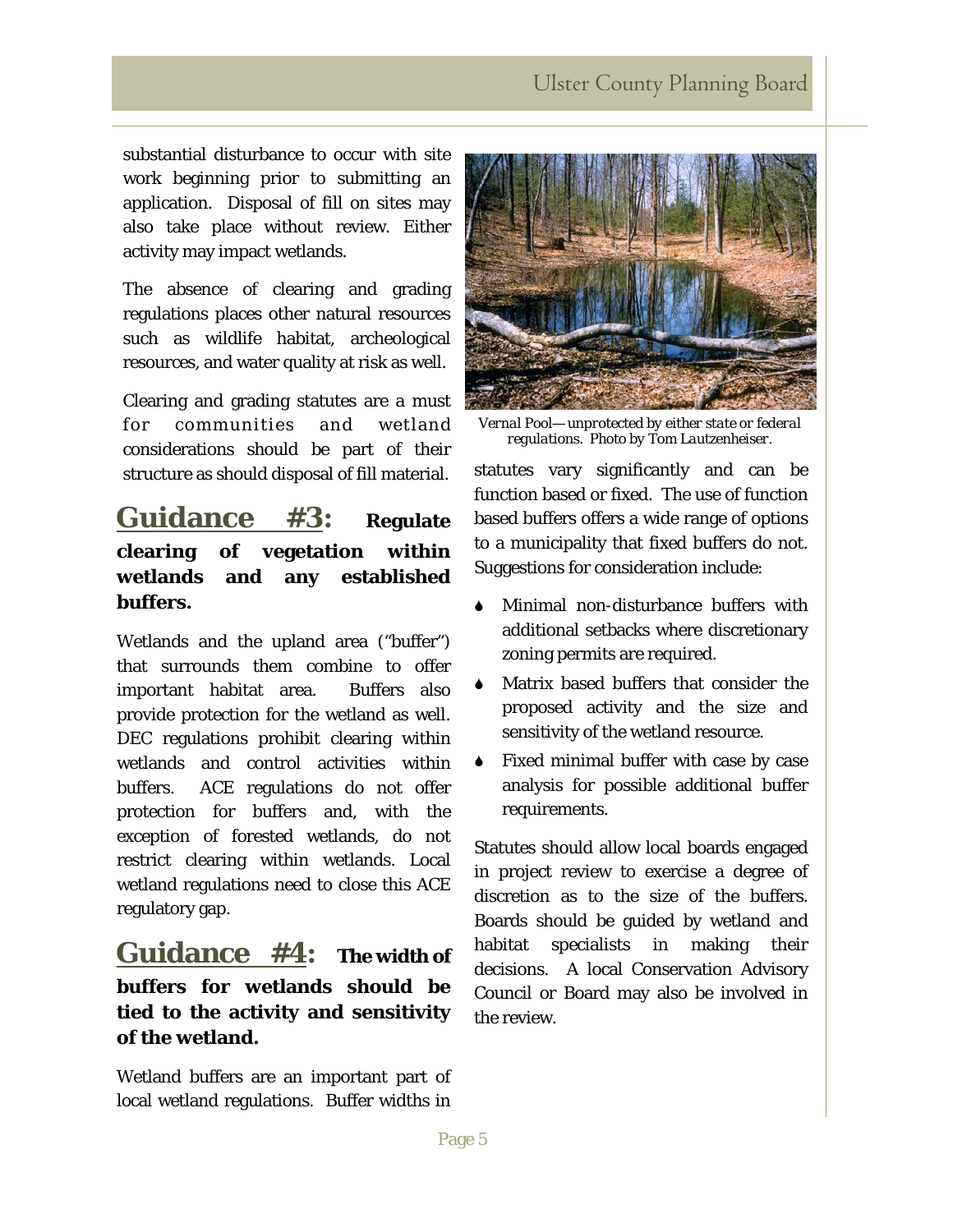#### **Ulster County Planning Board**

substantial disturbance to occur with site work beginning prior to submitting an application. Disposal of fill on sites may also take place without review. Either activity may impact wetlands.

The absence of clearing and grading regulations places other natural resources such as wildlife habitat, archeological resources, and water quality at risk as well.

Clearing and grading statutes are a must for communities and wetland considerations should be part of their structure as should disposal of fill material.

#### **Guidance #3: Regulate clearing of vegetation within wetlands and any established buffers.**

Wetlands and the upland area ("buffer") that surrounds them combine to offer important habitat area. Buffers also provide protection for the wetland as well. DEC regulations prohibit clearing within wetlands and control activities within buffers. ACE regulations do not offer protection for buffers and, with the exception of forested wetlands, do not restrict clearing within wetlands. Local wetland regulations need to close this ACE regulatory gap.

#### **Guidance #4: The width of buffers for wetlands should be tied to the activity and sensitivity of the wetland.**

Wetland buffers are an important part of local wetland regulations. Buffer widths in



*Vernal Pool— unprotected by either state or federal regulations. Photo by Tom Lautzenheiser.* 

statutes vary significantly and can be function based or fixed. The use of function based buffers offers a wide range of options to a municipality that fixed buffers do not. Suggestions for consideration include:

- 6 Minimal non-disturbance buffers with additional setbacks where discretionary zoning permits are required.
- Matrix based buffers that consider the proposed activity and the size and sensitivity of the wetland resource.
- 6 Fixed minimal buffer with case by case analysis for possible additional buffer requirements.

Statutes should allow local boards engaged in project review to exercise a degree of discretion as to the size of the buffers. Boards should be guided by wetland and habitat specialists in making their decisions. A local Conservation Advisory Council or Board may also be involved in the review.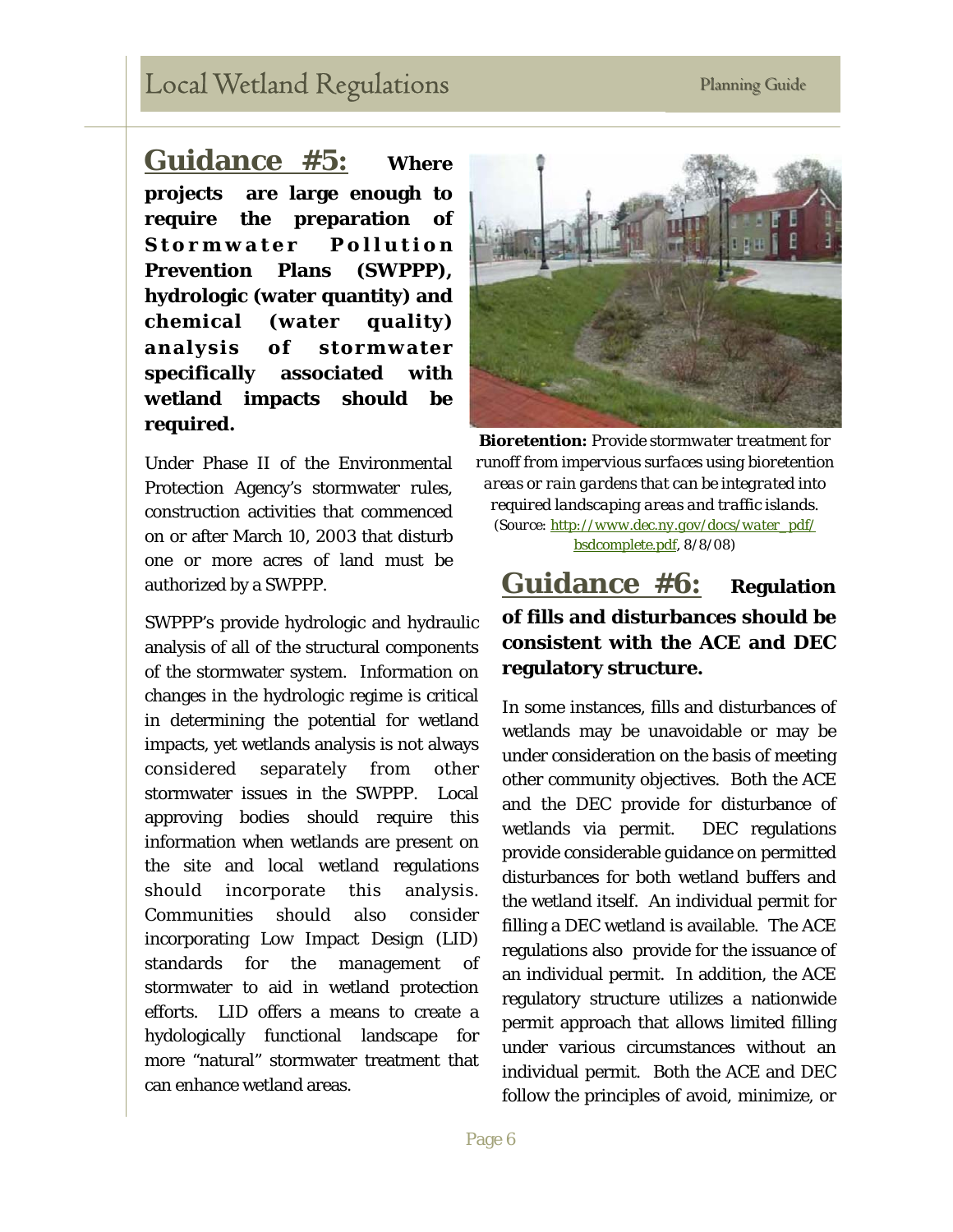# Local Wetland Regulations Planning Guide

**Guidance #5: Where projects are large enough to require the preparation of**  Stormwater Pollution **Prevention Plans (SWPPP), hydrologic (water quantity) and chemical (water quality) analysis of stormwater specifically associated with wetland impacts should be required.** 

Under Phase II of the Environmental Protection Agency's stormwater rules, construction activities that commenced on or after March 10, 2003 that disturb one or more acres of land must be authorized by a SWPPP.

SWPPP's provide hydrologic and hydraulic analysis of all of the structural components of the stormwater system. Information on changes in the hydrologic regime is critical in determining the potential for wetland impacts, yet wetlands analysis is not always considered separately from other stormwater issues in the SWPPP. Local approving bodies should require this information when wetlands are present on the site and local wetland regulations should incorporate this analysis. Communities should also consider incorporating Low Impact Design (LID) standards for the management of stormwater to aid in wetland protection efforts. LID offers a means to create a hydologically functional landscape for more "natural" stormwater treatment that can enhance wetland areas.



*Bioretention: Provide stormwater treatment for runoff from impervious surfaces using bioretention areas or rain gardens that can be integrated into required landscaping areas and traffic islands. (Source: [http://www.dec.ny.gov/docs/water\\_pdf/](http://www.dec.ny.gov/docs/water_pdf/) bsdcomplete.pdf, 8/8/08)* 

#### **Guidance #6: Regulation of fills and disturbances should be consistent with the ACE and DEC regulatory structure.**

In some instances, fills and disturbances of wetlands may be unavoidable or may be under consideration on the basis of meeting other community objectives. Both the ACE and the DEC provide for disturbance of wetlands via permit. DEC regulations provide considerable guidance on permitted disturbances for both wetland buffers and the wetland itself. An individual permit for filling a DEC wetland is available. The ACE regulations also provide for the issuance of an individual permit. In addition, the ACE regulatory structure utilizes a nationwide permit approach that allows limited filling under various circumstances without an individual permit. Both the ACE and DEC follow the principles of avoid, minimize, or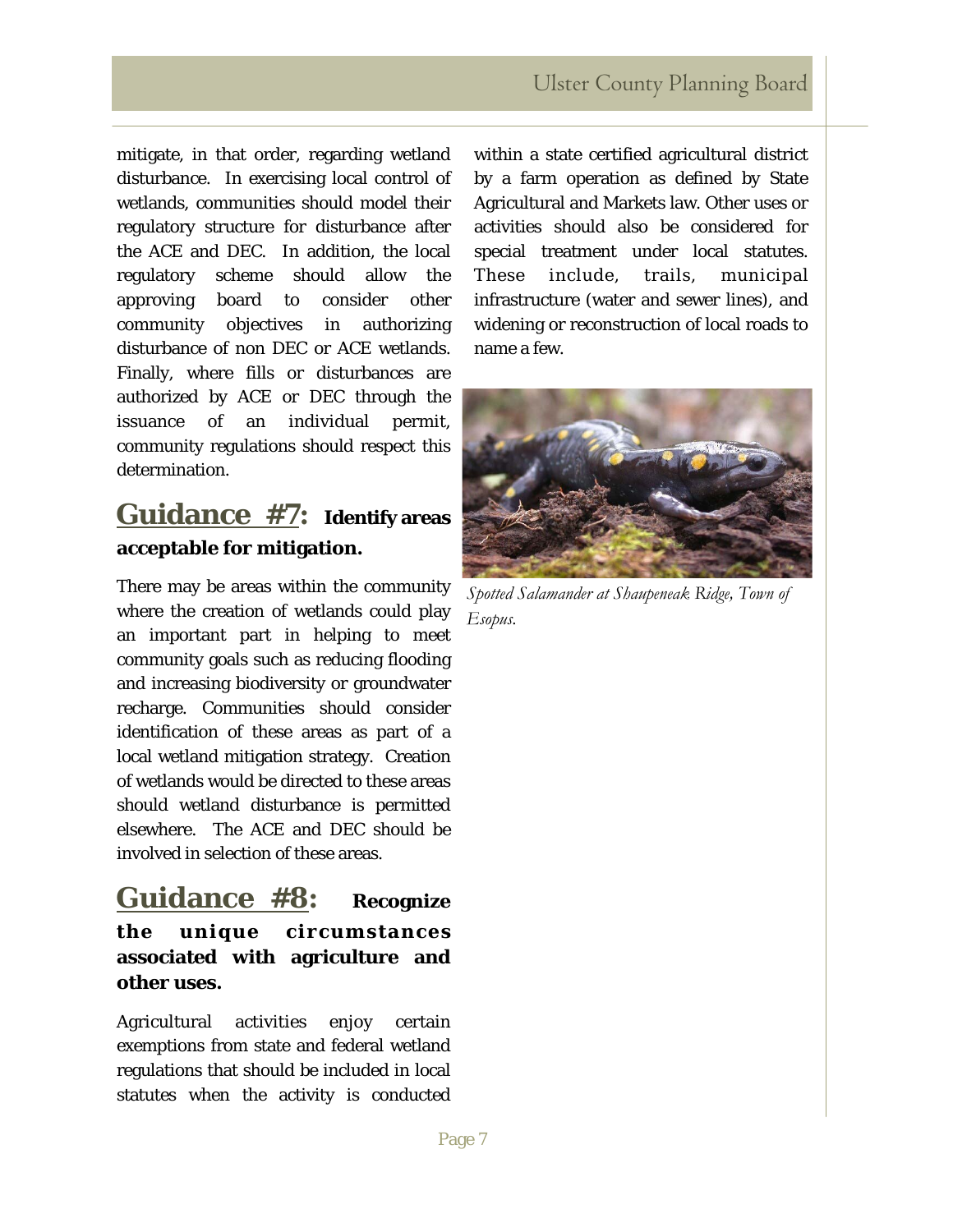#### **Ulster County Planning Board**

mitigate, in that order, regarding wetland disturbance. In exercising local control of wetlands, communities should model their regulatory structure for disturbance after the ACE and DEC. In addition, the local regulatory scheme should allow the approving board to consider other community objectives in authorizing disturbance of non DEC or ACE wetlands. Finally, where fills or disturbances are authorized by ACE or DEC through the issuance of an individual permit, community regulations should respect this determination.

## **Guidance #7: Identify areas acceptable for mitigation.**

There may be areas within the community where the creation of wetlands could play an important part in helping to meet community goals such as reducing flooding and increasing biodiversity or groundwater recharge. Communities should consider identification of these areas as part of a local wetland mitigation strategy. Creation of wetlands would be directed to these areas should wetland disturbance is permitted elsewhere. The ACE and DEC should be involved in selection of these areas.

### **Guidance #8: Recognize the unique circumstances associated with agriculture and other uses.**

Agricultural activities enjoy certain exemptions from state and federal wetland regulations that should be included in local statutes when the activity is conducted

within a state certified agricultural district by a farm operation as defined by State Agricultural and Markets law. Other uses or activities should also be considered for special treatment under local statutes. These include, trails, municipal infrastructure (water and sewer lines), and widening or reconstruction of local roads to name a few.



*Spotted Salamander at Shaupeneak Ridge, Town of Esopus.*